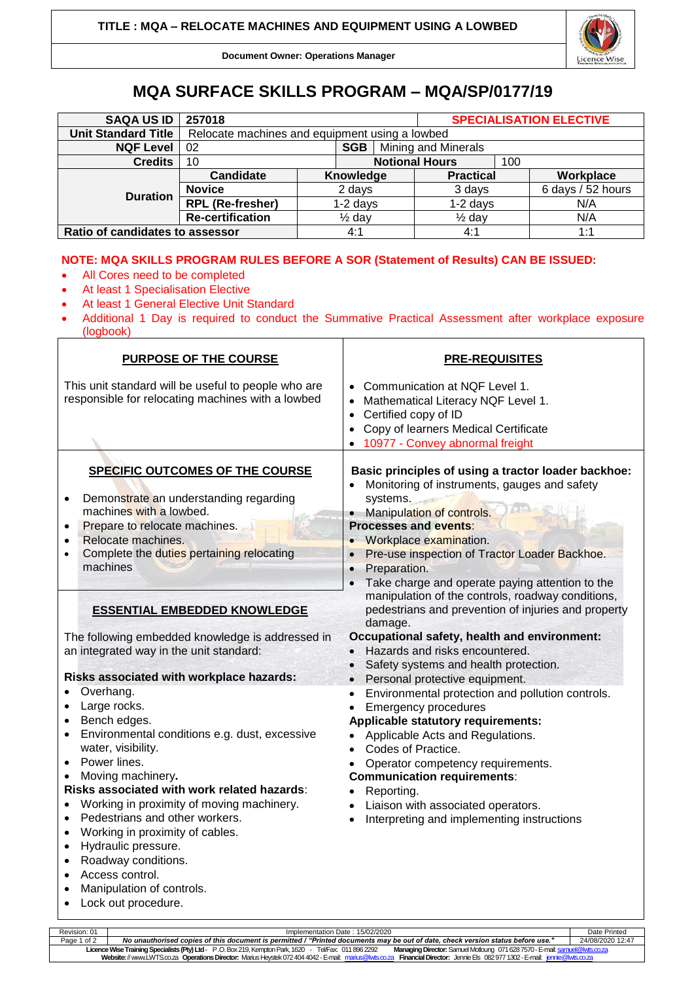

**Document Owner: Operations Manager**

## **MQA SURFACE SKILLS PROGRAM – MQA/SP/0177/19**

| <b>SAQA US ID</b>               | 257018                                         |                   |                       |                     | <b>SPECIALISATION ELECTIVE</b> |  |                   |  |
|---------------------------------|------------------------------------------------|-------------------|-----------------------|---------------------|--------------------------------|--|-------------------|--|
| <b>Unit Standard Title</b>      | Relocate machines and equipment using a lowbed |                   |                       |                     |                                |  |                   |  |
| <b>NQF Level</b>                | SGB<br>02                                      |                   |                       | Mining and Minerals |                                |  |                   |  |
| <b>Credits</b>                  | 10                                             |                   | <b>Notional Hours</b> |                     | 100                            |  |                   |  |
| <b>Duration</b>                 | Candidate                                      |                   | Knowledge             |                     | <b>Practical</b>               |  | Workplace         |  |
|                                 | <b>Novice</b>                                  | 2 days            |                       |                     | 3 days                         |  | 6 days / 52 hours |  |
|                                 | <b>RPL (Re-fresher)</b>                        | $1-2$ days        |                       |                     | $1-2$ days                     |  | N/A               |  |
|                                 | <b>Re-certification</b>                        | $\frac{1}{2}$ day |                       |                     | $\frac{1}{2}$ day              |  | N/A               |  |
| Ratio of candidates to assessor |                                                |                   | 4:1                   |                     | 4:1                            |  | 1:1               |  |

## **NOTE: MQA SKILLS PROGRAM RULES BEFORE A SOR (Statement of Results) CAN BE ISSUED:**

- All Cores need to be completed
- At least 1 Specialisation Elective
- At least 1 General Elective Unit Standard
- Additional 1 Day is required to conduct the Summative Practical Assessment after workplace exposure (logbook)

| PURPOSE OF THE COURSE                                                                                                                                                                                                                                                                                                                                                                                                                                                                        | <b>PRE-REQUISITES</b>                                                                                                                                                                                                                                                                                                                                                                                                                  |  |  |  |  |
|----------------------------------------------------------------------------------------------------------------------------------------------------------------------------------------------------------------------------------------------------------------------------------------------------------------------------------------------------------------------------------------------------------------------------------------------------------------------------------------------|----------------------------------------------------------------------------------------------------------------------------------------------------------------------------------------------------------------------------------------------------------------------------------------------------------------------------------------------------------------------------------------------------------------------------------------|--|--|--|--|
| This unit standard will be useful to people who are<br>responsible for relocating machines with a lowbed                                                                                                                                                                                                                                                                                                                                                                                     | Communication at NQF Level 1.<br>Mathematical Literacy NQF Level 1.<br>$\bullet$<br>Certified copy of ID<br>$\bullet$<br>Copy of learners Medical Certificate<br>$\bullet$<br>10977 - Convey abnormal freight                                                                                                                                                                                                                          |  |  |  |  |
| SPECIFIC OUTCOMES OF THE COURSE<br>Demonstrate an understanding regarding<br>machines with a lowbed.<br>Prepare to relocate machines.<br>Relocate machines.<br>Complete the duties pertaining relocating<br>machines<br><b>ESSENTIAL EMBEDDED KNOWLEDGE</b>                                                                                                                                                                                                                                  | Basic principles of using a tractor loader backhoe:<br>Monitoring of instruments, gauges and safety<br>systems.<br>Manipulation of controls.<br><b>Processes and events:</b><br>Workplace examination.<br>Pre-use inspection of Tractor Loader Backhoe.<br>Preparation.<br>Take charge and operate paying attention to the<br>manipulation of the controls, roadway conditions,<br>pedestrians and prevention of injuries and property |  |  |  |  |
| The following embedded knowledge is addressed in<br>an integrated way in the unit standard:<br>Risks associated with workplace hazards:<br>Overhang.<br>Large rocks.                                                                                                                                                                                                                                                                                                                         | damage.<br>Occupational safety, health and environment:<br>• Hazards and risks encountered.<br>• Safety systems and health protection.<br>Personal protective equipment.<br>Environmental protection and pollution controls.<br>٠<br><b>Emergency procedures</b>                                                                                                                                                                       |  |  |  |  |
| Bench edges.<br>Environmental conditions e.g. dust, excessive<br>water, visibility.<br>Power lines.<br>$\bullet$<br>Moving machinery.<br>Risks associated with work related hazards:<br>Working in proximity of moving machinery.<br>Pedestrians and other workers.<br>$\bullet$<br>Working in proximity of cables.<br>$\bullet$<br>Hydraulic pressure.<br>$\bullet$<br>Roadway conditions.<br>$\bullet$<br>Access control.<br>$\bullet$<br>Manipulation of controls.<br>Lock out procedure. | Applicable statutory requirements:<br>Applicable Acts and Regulations.<br>Codes of Practice.<br>Operator competency requirements.<br><b>Communication requirements:</b><br>Reporting.<br>Liaison with associated operators.<br>Interpreting and implementing instructions                                                                                                                                                              |  |  |  |  |

Revision: 01 Implementation Date : 15/02/2020 Date Printed Page 1 of 2 *No unauthorised copies of this document is permitted / "Printed documents may be out of date, check version status before use."* 24/08/2020 12:47 **Licence Wise Training Specialists (Pty) Ltd**- P .O. Box 219, Kempton Park, 1620 - Tel/Fax: 011 896 2292 **Managing Director:** Samuel Motloung 071628 7570 -E-mai[l: samuel@lwts.co.za](mailto:samuel@lwts.co.za)  **Website:**// www.LWTS.co.za **Operations Director:** Marius Heystek 072404 4042 -E-mail: [marius@lwts.co.za](mailto:marius@lwts.co.za) **Financial Director:** Jennie Els 082977 1302 -E-mail: [jennie@lwts.co.za](mailto:jennie@lwts.co.za)